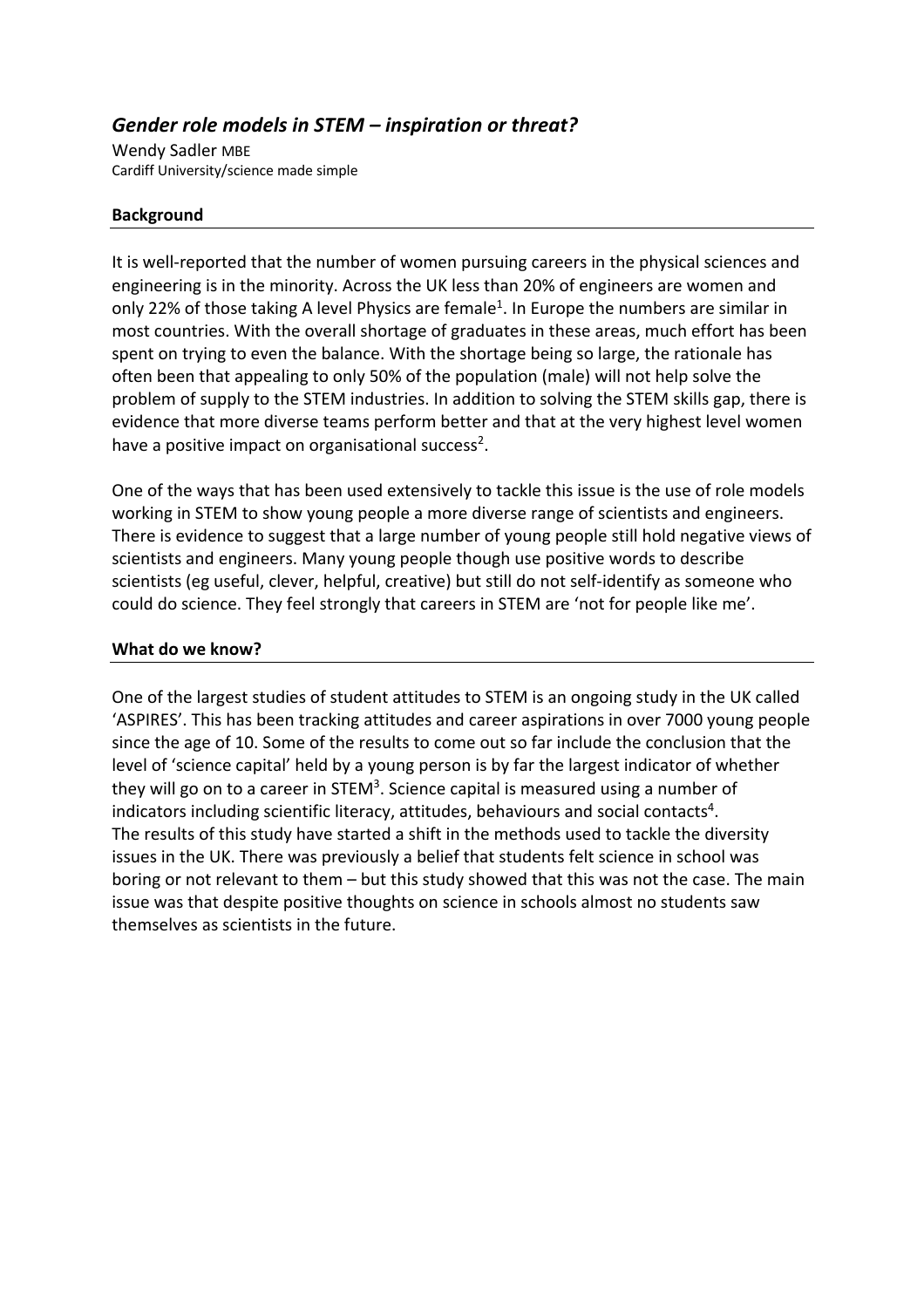# *Gender role models in STEM – inspiration or threat?*

Wendy Sadler MBE Cardiff University/science made simple

### **Background**

It is well-reported that the number of women pursuing careers in the physical sciences and engineering is in the minority. Across the UK less than 20% of engineers are women and only 22% of those taking A level Physics are female<sup>1</sup>. In Europe the numbers are similar in most countries. With the overall shortage of graduates in these areas, much effort has been spent on trying to even the balance. With the shortage being so large, the rationale has often been that appealing to only 50% of the population (male) will not help solve the problem of supply to the STEM industries. In addition to solving the STEM skills gap, there is evidence that more diverse teams perform better and that at the very highest level women have a positive impact on organisational success<sup>2</sup>.

One of the ways that has been used extensively to tackle this issue is the use of role models working in STEM to show young people a more diverse range of scientists and engineers. There is evidence to suggest that a large number of young people still hold negative views of scientists and engineers. Many young people though use positive words to describe scientists (eg useful, clever, helpful, creative) but still do not self-identify as someone who could do science. They feel strongly that careers in STEM are 'not for people like me'.

#### **What do we know?**

One of the largest studies of student attitudes to STEM is an ongoing study in the UK called 'ASPIRES'. This has been tracking attitudes and career aspirations in over 7000 young people since the age of 10. Some of the results to come out so far include the conclusion that the level of 'science capital' held by a young person is by far the largest indicator of whether they will go on to a career in STEM<sup>3</sup>. Science capital is measured using a number of indicators including scientific literacy, attitudes, behaviours and social contacts<sup>4</sup>. The results of this study have started a shift in the methods used to tackle the diversity issues in the UK. There was previously a belief that students felt science in school was boring or not relevant to them – but this study showed that this was not the case. The main issue was that despite positive thoughts on science in schools almost no students saw themselves as scientists in the future.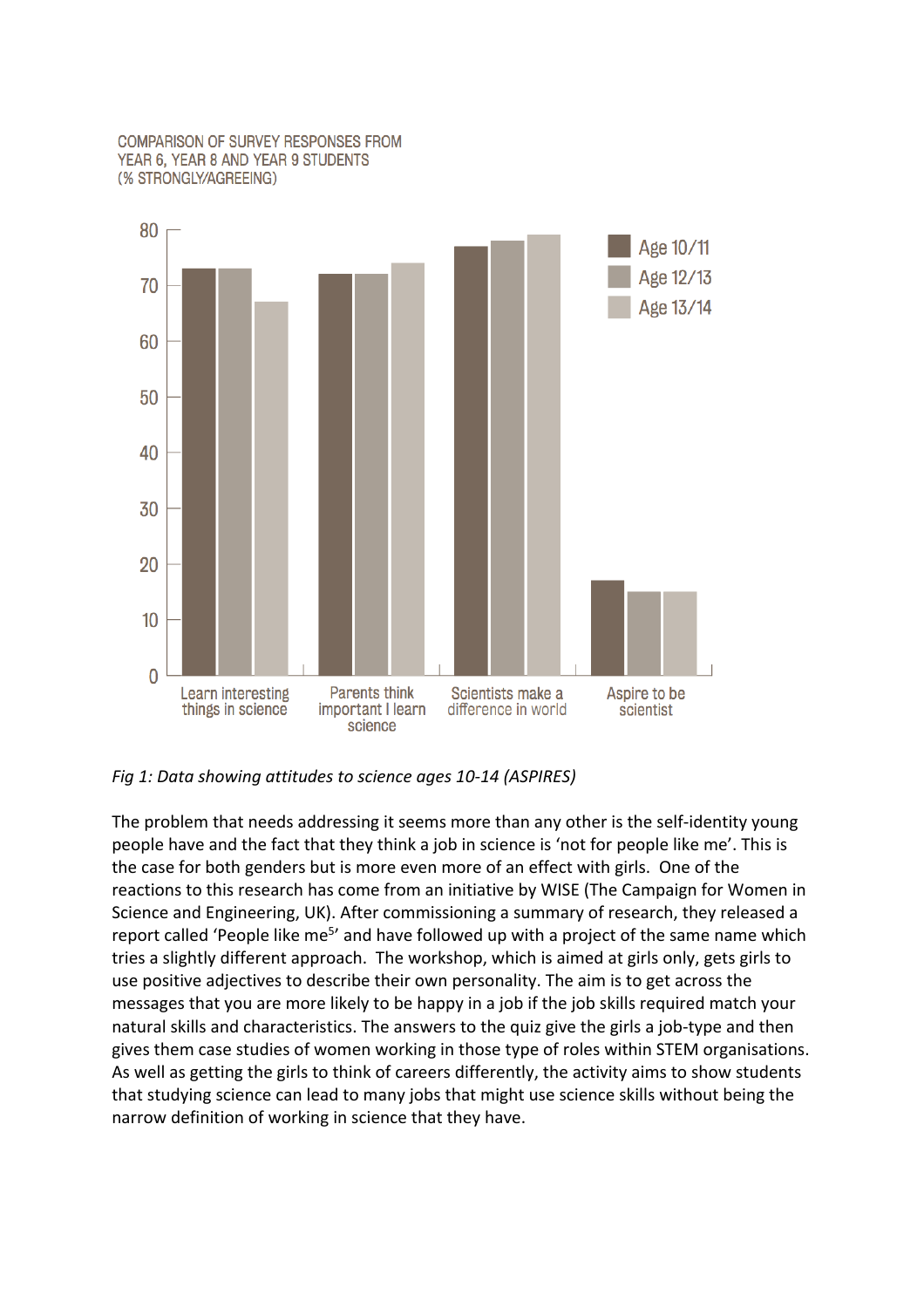#### **COMPARISON OF SURVEY RESPONSES FROM** YEAR 6, YEAR 8 AND YEAR 9 STUDENTS (% STRONGLY/AGREEING)



#### *Fig 1: Data showing attitudes to science ages 10-14 (ASPIRES)*

The problem that needs addressing it seems more than any other is the self-identity young people have and the fact that they think a job in science is 'not for people like me'. This is the case for both genders but is more even more of an effect with girls. One of the reactions to this research has come from an initiative by WISE (The Campaign for Women in Science and Engineering, UK). After commissioning a summary of research, they released a report called 'People like me<sup>5</sup>' and have followed up with a project of the same name which tries a slightly different approach. The workshop, which is aimed at girls only, gets girls to use positive adjectives to describe their own personality. The aim is to get across the messages that you are more likely to be happy in a job if the job skills required match your natural skills and characteristics. The answers to the quiz give the girls a job-type and then gives them case studies of women working in those type of roles within STEM organisations. As well as getting the girls to think of careers differently, the activity aims to show students that studying science can lead to many jobs that might use science skills without being the narrow definition of working in science that they have.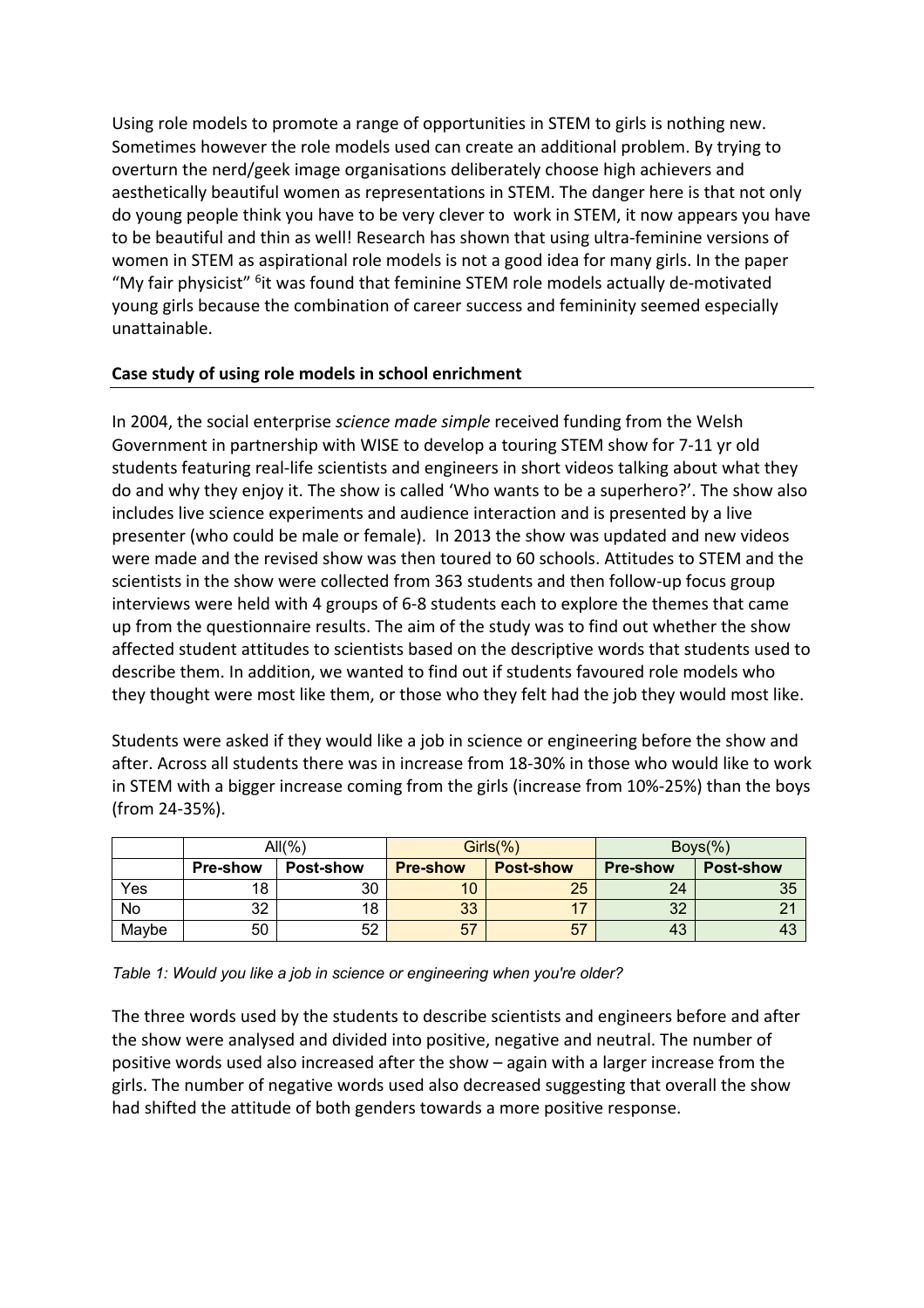Using role models to promote a range of opportunities in STEM to girls is nothing new. Sometimes however the role models used can create an additional problem. By trying to overturn the nerd/geek image organisations deliberately choose high achievers and aesthetically beautiful women as representations in STEM. The danger here is that not only do young people think you have to be very clever to work in STEM, it now appears you have to be beautiful and thin as well! Research has shown that using ultra-feminine versions of women in STEM as aspirational role models is not a good idea for many girls. In the paper "My fair physicist" <sup>6</sup>it was found that feminine STEM role models actually de-motivated young girls because the combination of career success and femininity seemed especially unattainable.

## **Case study of using role models in school enrichment**

In 2004, the social enterprise *science made simple* received funding from the Welsh Government in partnership with WISE to develop a touring STEM show for 7-11 yr old students featuring real-life scientists and engineers in short videos talking about what they do and why they enjoy it. The show is called 'Who wants to be a superhero?'. The show also includes live science experiments and audience interaction and is presented by a live presenter (who could be male or female). In 2013 the show was updated and new videos were made and the revised show was then toured to 60 schools. Attitudes to STEM and the scientists in the show were collected from 363 students and then follow-up focus group interviews were held with 4 groups of 6-8 students each to explore the themes that came up from the questionnaire results. The aim of the study was to find out whether the show affected student attitudes to scientists based on the descriptive words that students used to describe them. In addition, we wanted to find out if students favoured role models who they thought were most like them, or those who they felt had the job they would most like.

Students were asked if they would like a job in science or engineering before the show and after. Across all students there was in increase from 18-30% in those who would like to work in STEM with a bigger increase coming from the girls (increase from 10%-25%) than the boys (from 24-35%).

|       | $All(\%)$       |                  |                 | $Girls(\%)$      | $Boys(\%)$      |                  |
|-------|-----------------|------------------|-----------------|------------------|-----------------|------------------|
|       | <b>Pre-show</b> | <b>Post-show</b> | <b>Pre-show</b> | <b>Post-show</b> | <b>Pre-show</b> | <b>Post-show</b> |
| Yes   | 18              | 30               | 10              | 25               | 24              | 35               |
| No    | 32              | 18               | 33              |                  | ാറ<br>∠ت        | $\sim$           |
| Maybe | 50              | 52               | 57              | 57               | 43              | 43               |

*Table 1: Would you like a job in science or engineering when you're older?*

The three words used by the students to describe scientists and engineers before and after the show were analysed and divided into positive, negative and neutral. The number of positive words used also increased after the show – again with a larger increase from the girls. The number of negative words used also decreased suggesting that overall the show had shifted the attitude of both genders towards a more positive response.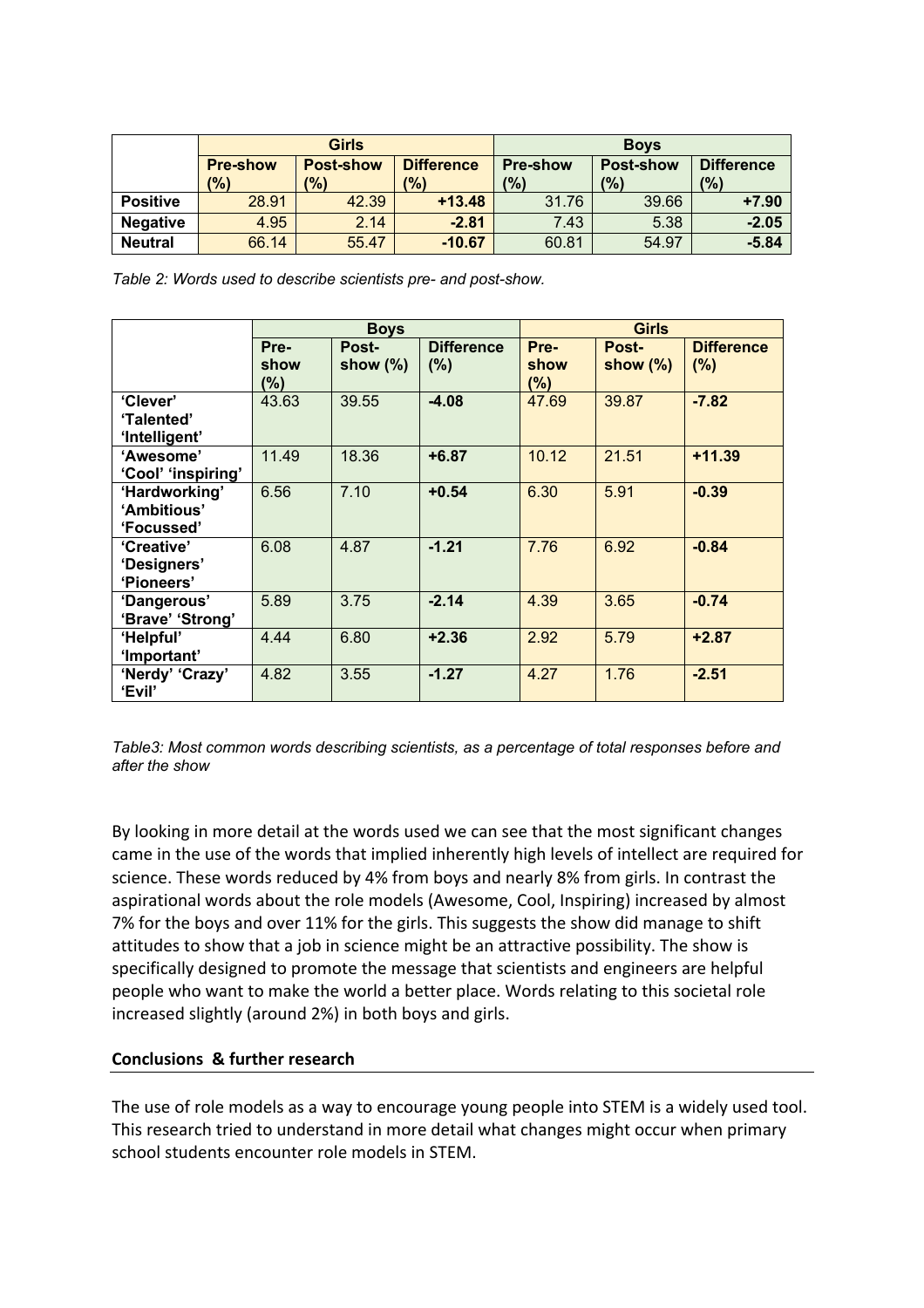|                 |                        | <b>Girls</b>              |                                     | <b>Boys</b>                      |                                    |                          |  |
|-----------------|------------------------|---------------------------|-------------------------------------|----------------------------------|------------------------------------|--------------------------|--|
|                 | <b>Pre-show</b><br>(%) | <b>Post-show</b><br>(9/6) | <b>Difference</b><br>$\frac{10}{6}$ | <b>Pre-show</b><br>$\frac{1}{2}$ | <b>Post-show</b><br>$\frac{10}{6}$ | <b>Difference</b><br>(%) |  |
| <b>Positive</b> | 28.91                  | 42.39                     | $+13.48$                            | 31.76                            | 39.66                              | $+7.90$                  |  |
| <b>Negative</b> | 4.95                   | 2.14                      | $-2.81$                             | 7.43                             | 5.38                               | $-2.05$                  |  |
| <b>Neutral</b>  | 66.14                  | 55.47                     | $-10.67$                            | 60.81                            | 54.97                              | $-5.84$                  |  |

*Table 2: Words used to describe scientists pre- and post-show.*

|                                            | <b>Boys</b>         |                      |                           | <b>Girls</b>           |                      |                          |  |
|--------------------------------------------|---------------------|----------------------|---------------------------|------------------------|----------------------|--------------------------|--|
|                                            | Pre-<br>show<br>(%) | Post-<br>show $(\%)$ | <b>Difference</b><br>(% ) | Pre-<br>show<br>$(\%)$ | Post-<br>show $(\%)$ | <b>Difference</b><br>(%) |  |
| 'Clever'<br>'Talented'<br>'Intelligent'    | 43.63               | 39.55                | $-4.08$                   | 47.69                  | 39.87                | $-7.82$                  |  |
| 'Awesome'<br>'Cool' 'inspiring'            | 11.49               | 18.36                | $+6.87$                   | 10.12                  | 21.51                | $+11.39$                 |  |
| 'Hardworking'<br>'Ambitious'<br>'Focussed' | 6.56                | 7.10                 | $+0.54$                   | 6.30                   | 5.91                 | $-0.39$                  |  |
| 'Creative'<br>'Designers'<br>'Pioneers'    | 6.08                | 4.87                 | $-1.21$                   | 7.76                   | 6.92                 | $-0.84$                  |  |
| 'Dangerous'<br>'Brave' 'Strong'            | 5.89                | 3.75                 | $-2.14$                   | 4.39                   | 3.65                 | $-0.74$                  |  |
| 'Helpful'<br>'Important'                   | 4.44                | 6.80                 | $+2.36$                   | 2.92                   | 5.79                 | $+2.87$                  |  |
| 'Nerdy' 'Crazy'<br>'Evil'                  | 4.82                | 3.55                 | $-1.27$                   | 4.27                   | 1.76                 | $-2.51$                  |  |

*Table3: Most common words describing scientists, as a percentage of total responses before and after the show*

By looking in more detail at the words used we can see that the most significant changes came in the use of the words that implied inherently high levels of intellect are required for science. These words reduced by 4% from boys and nearly 8% from girls. In contrast the aspirational words about the role models (Awesome, Cool, Inspiring) increased by almost 7% for the boys and over 11% for the girls. This suggests the show did manage to shift attitudes to show that a job in science might be an attractive possibility. The show is specifically designed to promote the message that scientists and engineers are helpful people who want to make the world a better place. Words relating to this societal role increased slightly (around 2%) in both boys and girls.

### **Conclusions & further research**

The use of role models as a way to encourage young people into STEM is a widely used tool. This research tried to understand in more detail what changes might occur when primary school students encounter role models in STEM.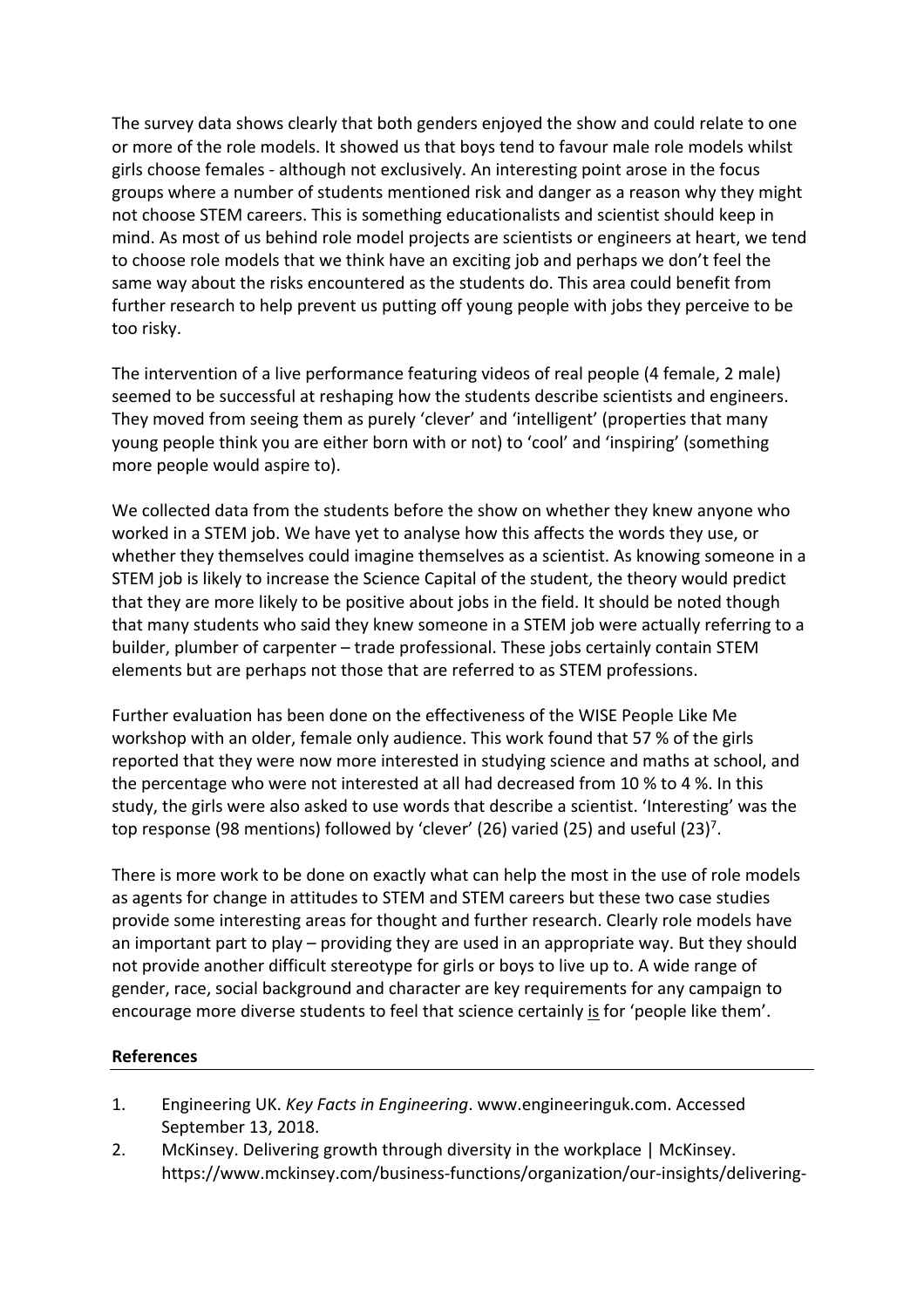The survey data shows clearly that both genders enjoyed the show and could relate to one or more of the role models. It showed us that boys tend to favour male role models whilst girls choose females - although not exclusively. An interesting point arose in the focus groups where a number of students mentioned risk and danger as a reason why they might not choose STEM careers. This is something educationalists and scientist should keep in mind. As most of us behind role model projects are scientists or engineers at heart, we tend to choose role models that we think have an exciting job and perhaps we don't feel the same way about the risks encountered as the students do. This area could benefit from further research to help prevent us putting off young people with jobs they perceive to be too risky.

The intervention of a live performance featuring videos of real people (4 female, 2 male) seemed to be successful at reshaping how the students describe scientists and engineers. They moved from seeing them as purely 'clever' and 'intelligent' (properties that many young people think you are either born with or not) to 'cool' and 'inspiring' (something more people would aspire to).

We collected data from the students before the show on whether they knew anyone who worked in a STEM job. We have yet to analyse how this affects the words they use, or whether they themselves could imagine themselves as a scientist. As knowing someone in a STEM job is likely to increase the Science Capital of the student, the theory would predict that they are more likely to be positive about jobs in the field. It should be noted though that many students who said they knew someone in a STEM job were actually referring to a builder, plumber of carpenter – trade professional. These jobs certainly contain STEM elements but are perhaps not those that are referred to as STEM professions.

Further evaluation has been done on the effectiveness of the WISE People Like Me workshop with an older, female only audience. This work found that 57 % of the girls reported that they were now more interested in studying science and maths at school, and the percentage who were not interested at all had decreased from 10 % to 4 %. In this study, the girls were also asked to use words that describe a scientist. 'Interesting' was the top response (98 mentions) followed by 'clever' (26) varied (25) and useful (23)<sup>7</sup>.

There is more work to be done on exactly what can help the most in the use of role models as agents for change in attitudes to STEM and STEM careers but these two case studies provide some interesting areas for thought and further research. Clearly role models have an important part to play – providing they are used in an appropriate way. But they should not provide another difficult stereotype for girls or boys to live up to. A wide range of gender, race, social background and character are key requirements for any campaign to encourage more diverse students to feel that science certainly is for 'people like them'.

#### **References**

- 1. Engineering UK. *Key Facts in Engineering*. www.engineeringuk.com. Accessed September 13, 2018.
- 2. McKinsey. Delivering growth through diversity in the workplace | McKinsey. https://www.mckinsey.com/business-functions/organization/our-insights/delivering-